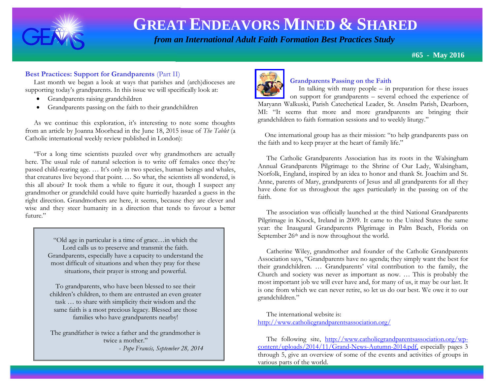

# **GREAT ENDEAVORS MINED & SHARED**

 *from an International Adult Faith Formation Best Practices Study*

**#65 - May 2016**

#### **Best Practices: Support for Grandparents** (Part II)

Last month we began a look at ways that parishes and (arch)dioceses are supporting today's grandparents. In this issue we will specifically look at:

- Grandparents raising grandchildren
- Grandparents passing on the faith to their grandchildren

 As we continue this exploration, it's interesting to note some thoughts from an article by Joanna Moorhead in the June 18, 2015 issue of *The Tablet* (a Catholic international weekly review published in London):

 "For a long time scientists puzzled over why grandmothers are actually here. The usual rule of natural selection is to write off females once they're passed child-rearing age. … It's only in two species, human beings and whales, that creatures live beyond that point. … So what, the scientists all wondered, is this all about? It took them a while to figure it out, though I suspect any grandmother or grandchild could have quite hurriedly hazarded a guess in the right direction. Grandmothers are here, it seems, because they are clever and wise and they steer humanity in a direction that tends to favour a better future."

> "Old age in particular is a time of grace…in which the Lord calls us to preserve and transmit the faith. Grandparents, especially have a capacity to understand the most difficult of situations and when they pray for these situations, their prayer is strong and powerful.

To grandparents, who have been blessed to see their children's children, to them are entrusted an even greater task … to share with simplicity their wisdom and the same faith is a most precious legacy. Blessed are those families who have grandparents nearby!

The grandfather is twice a father and the grandmother is twice a mother." - *Pope Francis, September 28, 2014*



# **Grandparents Passing on the Faith**

 In talking with many people – in preparation for these issues on support for grandparents – several echoed the experience of Maryann Walkuski, Parish Catechetical Leader, St. Anselm Parish, Dearborn, MI: "It seems that more and more grandparents are bringing their grandchildren to faith formation sessions and to weekly liturgy."

 One international group has as their mission: "to help grandparents pass on the faith and to keep prayer at the heart of family life."

 The Catholic Grandparents Association has its roots in the Walsingham Annual Grandparents Pilgrimage to the Shrine of Our Lady, Walsingham, Norfolk, England, inspired by an idea to honor and thank St. Joachim and St. Anne, parents of Mary, grandparents of Jesus and all grandparents for all they have done for us throughout the ages particularly in the passing on of the faith.

 The association was officially launched at the third National Grandparents Pilgrimage in Knock, Ireland in 2009. It came to the United States the same year: the Inaugural Grandparents Pilgrimage in Palm Beach, Florida on September 26<sup>th</sup> and is now throughout the world.

 Catherine Wiley, grandmother and founder of the Catholic Grandparents Association says, "Grandparents have no agenda; they simply want the best for their grandchildren. … Grandparents' vital contribution to the family, the Church and society was never as important as now. … This is probably the most important job we will ever have and, for many of us, it may be our last. It is one from which we can never retire, so let us do our best. We owe it to our grandchildren."

 The international website is: <http://www.catholicgrandparentsassociation.org/>

The following site, [http://www.catholicgrandparentsassociation.org/wp](http://www.catholicgrandparentsassociation.org/wp-content/uploads/2014/11/Grand-News-Autumn-2014.pdf)[content/uploads/2014/11/Grand-News-Autumn-2014.pdf,](http://www.catholicgrandparentsassociation.org/wp-content/uploads/2014/11/Grand-News-Autumn-2014.pdf) especially pages 3 through 5, give an overview of some of the events and activities of groups in various parts of the world.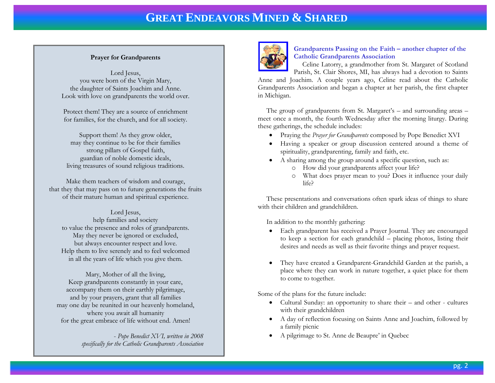# **GREAT ENDEAVORS MINED & SHARED**

#### **Prayer for Grandparents**

Lord Jesus, you were born of the Virgin Mary, the daughter of Saints Joachim and Anne. Look with love on grandparents the world over.

Protect them! They are a source of enrichment for families, for the church, and for all society.

Support them! As they grow older, may they continue to be for their families strong pillars of Gospel faith, guardian of noble domestic ideals, living treasures of sound religious traditions.

Make them teachers of wisdom and courage, that they that may pass on to future generations the fruits of their mature human and spiritual experience.

Lord Jesus, help families and society to value the presence and roles of grandparents. May they never be ignored or excluded, but always encounter respect and love. Help them to live serenely and to feel welcomed in all the years of life which you give them.

Mary, Mother of all the living, Keep grandparents constantly in your care, accompany them on their earthly pilgrimage, and by your prayers, grant that all families may one day be reunited in our heavenly homeland, where you await all humanity for the great embrace of life without end. Amen!

> - *Pope Benedict XVI, written in 2008 specifically for the Catholic Grandparents Association*



#### **Grandparents Passing on the Faith – another chapter of the Catholic Grandparents Association**

Celine Latorry, a grandmother from St. Margaret of Scotland

Parish, St. Clair Shores, MI, has always had a devotion to Saints Anne and Joachim. A couple years ago, Celine read about the Catholic Grandparents Association and began a chapter at her parish, the first chapter in Michigan.

 The group of grandparents from St. Margaret's – and surrounding areas – meet once a month, the fourth Wednesday after the morning liturgy. During these gatherings, the schedule includes:

- Praying the *Prayer for Grandparents* composed by Pope Benedict XVI
- Having a speaker or group discussion centered around a theme of spirituality, grandparenting, family and faith, etc.
- A sharing among the group around a specific question, such as:
	- o How did your grandparents affect your life?
	- o What does prayer mean to you? Does it influence your daily life?

 These presentations and conversations often spark ideas of things to share with their children and grandchildren.

In addition to the monthly gathering:

- Each grandparent has received a Prayer Journal. They are encouraged to keep a section for each grandchild – placing photos, listing their desires and needs as well as their favorite things and prayer request.
- They have created a Grandparent-Grandchild Garden at the parish, a place where they can work in nature together, a quiet place for them to come to together.

Some of the plans for the future include:

- Cultural Sunday: an opportunity to share their and other cultures with their grandchildren
- A day of reflection focusing on Saints Anne and Joachim, followed by a family picnic
- A pilgrimage to St. Anne de Beaupre' in Quebec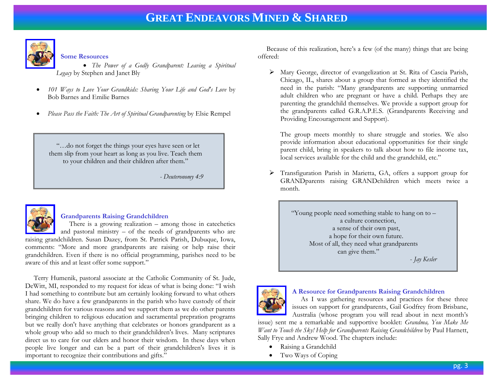

#### **Some Resources**

- *The Power of a Godly Grandparent: Leaving a Spiritual Legacy* by Stephen and Janet Bly
- *101 Ways to Love Your Grandkids: Sharing Your Life and God's Love* by Bob Barnes and Emilie Barnes
- *Please Pass the Faith: The Art of Spiritual Grandparenting* by Elsie Rempel

 "…do not forget the things your eyes have seen or let them slip from your heart as long as you live. Teach them to your children and their children after them."

*- Deuteronomy 4:9* 



#### **Grandparents Raising Grandchildren**

 There is a growing realization – among those in catechetics and pastoral ministry – of the needs of grandparents who are raising grandchildren. Susan Dazey, from St. Patrick Parish, Dubuque, Iowa, comments: "More and more grandparents are raising or help raise their grandchildren. Even if there is no official programming, parishes need to be aware of this and at least offer some support."

 Terry Humenik, pastoral associate at the Catholic Community of St. Jude, DeWitt, MI, responded to my request for ideas of what is being done: "I wish I had something to contribute but am certainly looking forward to what others share. We do have a few grandparents in the parish who have custody of their grandchildren for various reasons and we support them as we do other parents bringing children to religious education and sacramental prepration programs but we really don't have anything that celebrates or honors grandparent as a whole group who add so much to their grandchildren's lives. Many scriptures direct us to care for our elders and honor their wisdom. In these days when people live longer and can be a part of their grandchildren's lives it is important to recognize their contributions and gifts."

 Because of this realization, here's a few (of the many) things that are being offered:

 Mary George, director of evangelization at St. Rita of Cascia Parish, Chicago, IL, shares about a group that formed as they identified the need in the parish: "Many grandparents are supporting unmarried adult children who are pregnant or have a child. Perhaps they are parenting the grandchild themselves. We provide a support group for the grandparents called G.R.A.P.E.S. (Grandparents Receiving and Providing Encouragement and Support).

The group meets monthly to share struggle and stories. We also provide information about educational opportunities for their single parent child, bring in speakers to talk about how to file income tax, local services available for the child and the grandchild, etc."

 Transfiguration Parish in Marietta, GA, offers a support group for GRANDparents raising GRANDchildren which meets twice a month.

> "Young people need something stable to hang on to – a culture connection, a sense of their own past, a hope for their own future. Most of all, they need what grandparents can give them."

- *Jay Kesler*



#### **A Resource for Grandparents Raising Grandchildren**

 As I was gathering resources and practices for these three issues on support for grandparents, Gail Godfrey from Brisbane, Australia (whose program you will read about in next month's

issue) sent me a remarkable and supportive booklet: *Grandma, You Make Me Want to Touch the Sky! Help for Grandparents Raising Grandchildren by Paul Harnett,* Sally Frye and Andrew Wood. The chapters include:

- Raising a Grandchild
- Two Ways of Coping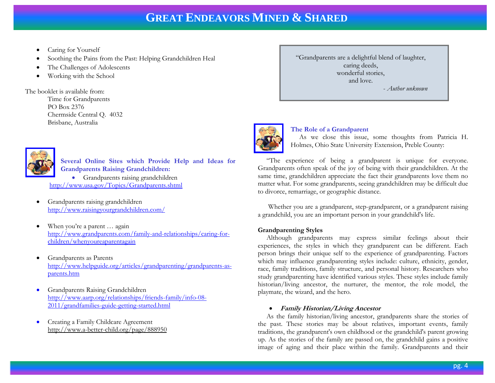- Caring for Yourself
- Soothing the Pains from the Past: Helping Grandchildren Heal
- The Challenges of Adolescents
- Working with the School

The booklet is available from: Time for Grandparents PO Box 2376 Chermside Central Q. 4032 Brisbane, Australia



**Several Online Sites which Provide Help and Ideas for Grandparents Raising Grandchildren:** Grandparents raising grandchildren <http://www.usa.gov/Topics/Grandparents.shtml>

- Grandparents raising grandchildren <http://www.raisingyourgrandchildren.com/>
- When you're a parent ... again [http://www.grandparents.com/family-and-relationships/caring-for](http://www.grandparents.com/family-and-relationships/caring-for-children/whenyoureaparentagain)[children/whenyoureaparentagain](http://www.grandparents.com/family-and-relationships/caring-for-children/whenyoureaparentagain)
- Grandparents as Parents [http://www.helpguide.org/articles/grandparenting/grandparents-as](http://www.helpguide.org/articles/grandparenting/grandparents-as-parents.htm)[parents.htm](http://www.helpguide.org/articles/grandparenting/grandparents-as-parents.htm)
- Grandparents Raising Grandchildren [http://www.aarp.org/relationships/friends-family/info-08-](http://www.aarp.org/relationships/friends-family/info-08-2011/grandfamilies-guide-getting-started.html) [2011/grandfamilies-guide-getting-started.html](http://www.aarp.org/relationships/friends-family/info-08-2011/grandfamilies-guide-getting-started.html)
- Creating a Family Childcare Agreement <http://www.a-better-child.org/page/888950>

"Grandparents are a delightful blend of laughter, caring deeds, wonderful stories, and love. - *Author unknown* 



# **The Role of a Grandparent**

 As we close this issue, some thoughts from Patricia H. Holmes, Ohio State University Extension, Preble County:

 "The experience of being a grandparent is unique for everyone. Grandparents often speak of the joy of being with their grandchildren. At the same time, grandchildren appreciate the fact their grandparents love them no matter what. For some grandparents, seeing grandchildren may be difficult due to divorce, remarriage, or geographic distance.

 Whether you are a grandparent, step-grandparent, or a grandparent raising a grandchild, you are an important person in your grandchild's life.

# **Grandparenting Styles**

 Although grandparents may express similar feelings about their experiences, the styles in which they grandparent can be different. Each person brings their unique self to the experience of grandparenting. Factors which may influence grandparenting styles include: culture, ethnicity, gender, race, family traditions, family structure, and personal history. Researchers who study grandparenting have identified various styles. These styles include family historian/living ancestor, the nurturer, the mentor, the role model, the playmate, the wizard, and the hero.

#### **Family Historian/Living Ancestor**

 As the family historian/living ancestor, grandparents share the stories of the past. These stories may be about relatives, important events, family traditions, the grandparent's own childhood or the grandchild's parent growing up. As the stories of the family are passed on, the grandchild gains a positive image of aging and their place within the family. Grandparents and their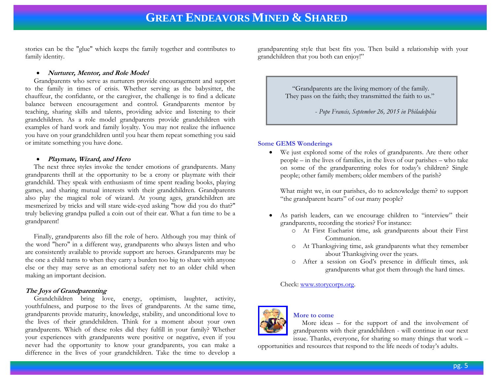stories can be the "glue" which keeps the family together and contributes to family identity.

#### **Nurturer, Mentor, and Role Model**

 Grandparents who serve as nurturers provide encouragement and support to the family in times of crisis. Whether serving as the babysitter, the chauffeur, the confidante, or the caregiver, the challenge is to find a delicate balance between encouragement and control. Grandparents mentor by teaching, sharing skills and talents, providing advice and listening to their grandchildren. As a role model grandparents provide grandchildren with examples of hard work and family loyalty. You may not realize the influence you have on your grandchildren until you hear them repeat something you said or imitate something you have done.

#### **Playmate, Wizard, and Hero**

 The next three styles invoke the tender emotions of grandparents. Many grandparents thrill at the opportunity to be a crony or playmate with their grandchild. They speak with enthusiasm of time spent reading books, playing games, and sharing mutual interests with their grandchildren. Grandparents also play the magical role of wizard. At young ages, grandchildren are mesmerized by tricks and will stare wide-eyed asking "how did you do that?" truly believing grandpa pulled a coin out of their ear. What a fun time to be a grandparent!

 Finally, grandparents also fill the role of hero. Although you may think of the word "hero" in a different way, grandparents who always listen and who are consistently available to provide support are heroes. Grandparents may be the one a child turns to when they carry a burden too big to share with anyone else or they may serve as an emotional safety net to an older child when making an important decision.

# **The Joys of Grandparenting**

 Grandchildren bring love, energy, optimism, laughter, activity, youthfulness, and purpose to the lives of grandparents. At the same time, grandparents provide maturity, knowledge, stability, and unconditional love to the lives of their grandchildren. Think for a moment about your own grandparents. Which of these roles did they fulfill in your family? Whether your experiences with grandparents were positive or negative, even if you never had the opportunity to know your grandparents, you can make a difference in the lives of your grandchildren. Take the time to develop a grandparenting style that best fits you. Then build a relationship with your grandchildren that you both can enjoy!"

> "Grandparents are the living memory of the family. They pass on the faith; they transmitted the faith to us."

> > - *Pope Francis, September 26, 2015 in Philadelphia*

#### **Some GEMS Wonderings**

 We just explored some of the roles of grandparents. Are there other people – in the lives of families, in the lives of our parishes – who take on some of the grandparenting roles for today's children? Single people; other family members; older members of the parish?

What might we, in our parishes, do to acknowledge them? to support "the grandparent hearts" of our many people?

- As parish leaders, can we encourage children to "interview" their grandparents, recording the stories? For instance:
	- o At First Eucharist time, ask grandparents about their First Communion.
	- o At Thanksgiving time, ask grandparents what they remember about Thanksgiving over the years.
	- o After a session on God's presence in difficult times, ask grandparents what got them through the hard times.

Check: [www.storycorps.org.](http://www.storycorps.org/)



# **More to come**

 More ideas – for the support of and the involvement of grandparents with their grandchildren - will continue in our next issue. Thanks, everyone, for sharing so many things that work –

opportunities and resources that respond to the life needs of today's adults.